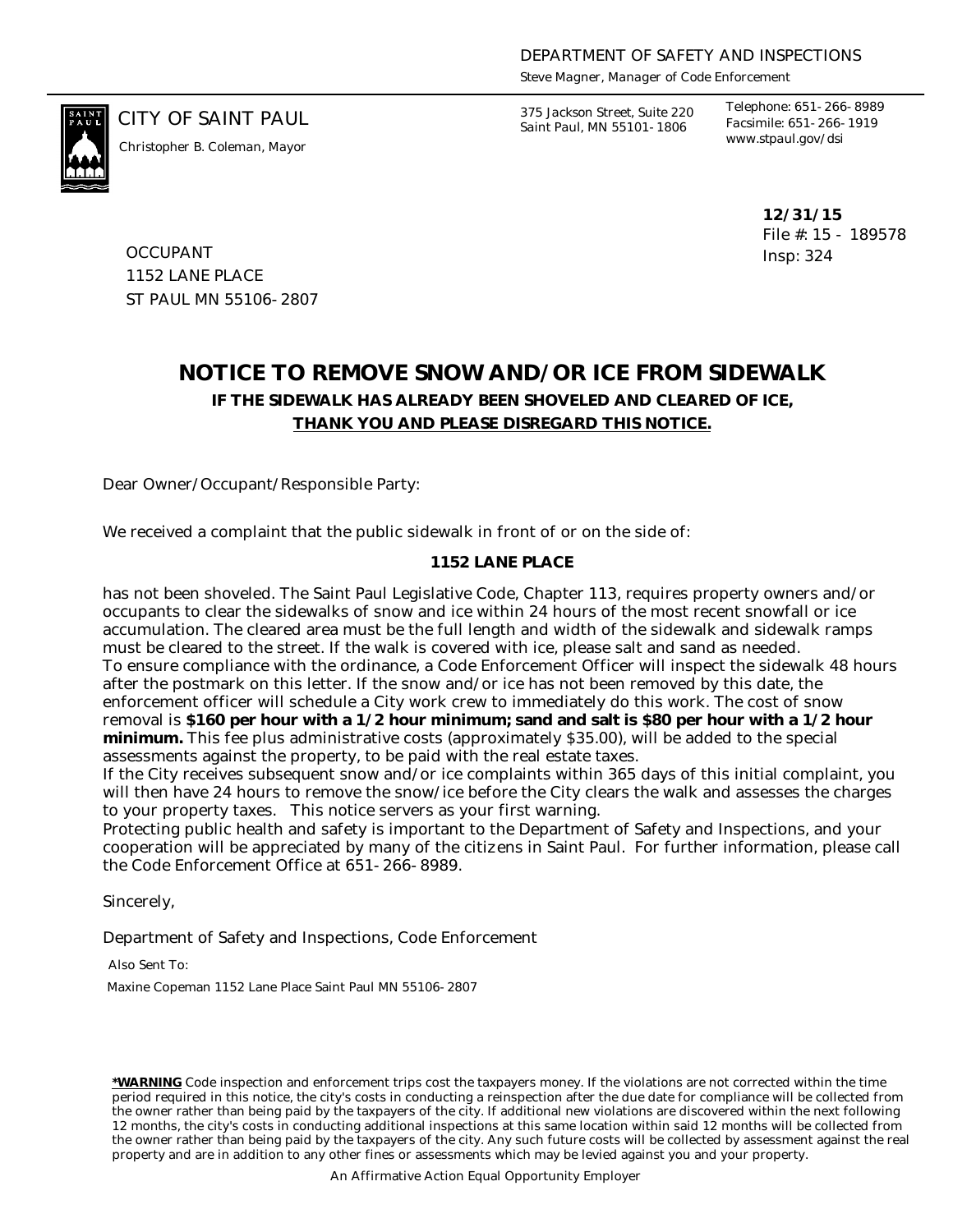*Steve Magner, Manager of Code Enforcement*



*www.stpaul.gov/dsi Christopher B. Coleman, Mayor*

CITY OF SAINT PAUL *375 Jackson Street, Suite 220 Saint Paul, MN 55101-1806*

*Telephone: 651-266-8989 Facsimile: 651-266-1919*

> **12/31/15** File #: 15 - 189578 Insp: 324

**OCCUPANT** 1152 LANE PLACE ST PAUL MN 55106-2807

## **NOTICE TO REMOVE SNOW AND/OR ICE FROM SIDEWALK IF THE SIDEWALK HAS ALREADY BEEN SHOVELED AND CLEARED OF ICE, THANK YOU AND PLEASE DISREGARD THIS NOTICE.**

Dear Owner/Occupant/Responsible Party:

We received a complaint that the public sidewalk in front of or on the side of:

## **1152 LANE PLACE**

has not been shoveled. The Saint Paul Legislative Code, Chapter 113, requires property owners and/or occupants to clear the sidewalks of snow and ice within 24 hours of the most recent snowfall or ice accumulation. The cleared area must be the full length and width of the sidewalk and sidewalk ramps must be cleared to the street. If the walk is covered with ice, please salt and sand as needed. To ensure compliance with the ordinance, a Code Enforcement Officer will inspect the sidewalk 48 hours after the postmark on this letter. If the snow and/or ice has not been removed by this date, the enforcement officer will schedule a City work crew to immediately do this work. The cost of snow removal is **\$160 per hour with a 1/2 hour minimum; sand and salt is \$80 per hour with a 1/2 hour minimum.** This fee plus administrative costs (approximately \$35.00), will be added to the special assessments against the property, to be paid with the real estate taxes.

If the City receives subsequent snow and/or ice complaints within 365 days of this initial complaint, you will then have 24 hours to remove the snow/ice before the City clears the walk and assesses the charges to your property taxes. This notice servers as your first warning.

Protecting public health and safety is important to the Department of Safety and Inspections, and your cooperation will be appreciated by many of the citizens in Saint Paul. For further information, please call the Code Enforcement Office at 651-266-8989.

Sincerely,

Department of Safety and Inspections, Code Enforcement

Also Sent To:

Maxine Copeman 1152 Lane Place Saint Paul MN 55106-2807

**\*WARNING** Code inspection and enforcement trips cost the taxpayers money. If the violations are not corrected within the time period required in this notice, the city's costs in conducting a reinspection after the due date for compliance will be collected from the owner rather than being paid by the taxpayers of the city. If additional new violations are discovered within the next following 12 months, the city's costs in conducting additional inspections at this same location within said 12 months will be collected from the owner rather than being paid by the taxpayers of the city. Any such future costs will be collected by assessment against the real property and are in addition to any other fines or assessments which may be levied against you and your property.